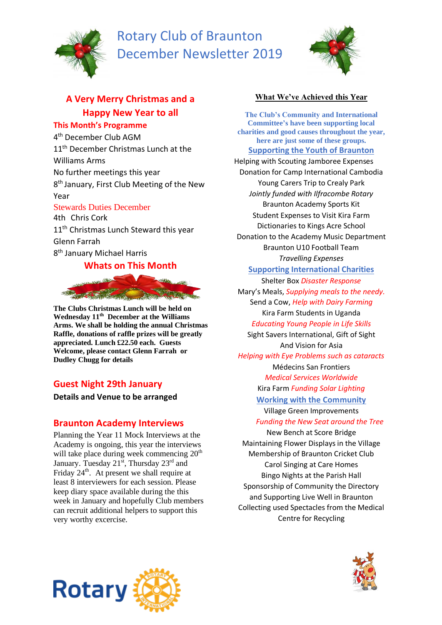

# Rotary Club of Braunton December Newsletter 2019



## **A Very Merry Christmas and a Happy New Year to all**

#### **This Month's Programme**

4 th December Club AGM 11<sup>th</sup> December Christmas Lunch at the Williams Arms No further meetings this year 8 th January, First Club Meeting of the New Year Stewards Duties December

4th Chris Cork 11<sup>th</sup> Christmas Lunch Steward this year Glenn Farrah 8<sup>th</sup> January Michael Harris

## **Whats on This Month**



**The Clubs Christmas Lunch will be held on Wednesday 11 th December at the Williams Arms. We shall be holding the annual Christmas Raffle, donations of raffle prizes will be greatly appreciated. Lunch £22.50 each. Guests Welcome, please contact Glenn Farrah or Dudley Chugg for details**

## **Guest Night 29th January**

**Details and Venue to be arranged**

## **Braunton Academy Interviews**

 $T_{\text{H}}$ very worthy excercise. Planning the Year 11 Mock Interviews at the Academy is ongoing, this year the interviews will take place during week commencing 20<sup>th</sup> January. Tuesday 21<sup>st</sup>, Thursday 23<sup>rd</sup> and Friday  $24<sup>th</sup>$ . At present we shall require at least 8 interviewers for each session. Please keep diary space available during the this week in January and hopefully Club members can recruit additional helpers to support this

### **What We've Achieved this Year**

**The Club's Community and International Committee's have been supporting local charities and good causes throughout the year, here are just some of these groups. Supporting the Youth of Braunton** Helping with Scouting Jamboree Expenses Donation for Camp International Cambodia Young Carers Trip to Crealy Park *Jointly funded with Ilfracombe Rotary* Braunton Academy Sports Kit Student Expenses to Visit Kira Farm Dictionaries to Kings Acre School Donation to the Academy Music Department Braunton U10 Football Team *Travelling Expenses* **Supporting International Charities** Shelter Box *Disaster Response*  Mary's Meals, *Supplying meals to the needy.* Send a Cow, *Help with Dairy Farming* Kira Farm Students in Uganda *Educating Young People in Life Skills* Sight Savers International, Gift of Sight And Vision for Asia *Helping with Eye Problems such as cataracts* Médecins San Frontiers *Medical Services Worldwide* Kira Farm *Funding Solar Lighting* **Working with the Community** Village Green Improvements  *Funding the New Seat around the Tree* New Bench at Score Bridge Maintaining Flower Displays in the Village Membership of Braunton Cricket Club Carol Singing at Care Homes Bingo Nights at the Parish Hall

Sponsorship of Community the Directory and Supporting Live Well in Braunton Collecting used Spectacles from the Medical Centre for Recycling